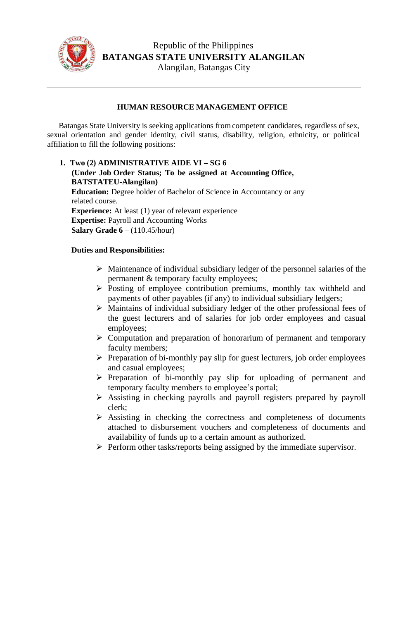

## **HUMAN RESOURCE MANAGEMENT OFFICE**

Batangas State University is seeking applications from competent candidates, regardless of sex, sexual orientation and gender identity, civil status, disability, religion, ethnicity, or political affiliation to fill the following positions:

**1. Two (2) ADMINISTRATIVE AIDE VI – SG 6 (Under Job Order Status; To be assigned at Accounting Office, BATSTATEU-Alangilan) Education:** Degree holder of Bachelor of Science in Accountancy or any related course. **Experience:** At least (1) year of relevant experience **Expertise:** Payroll and Accounting Works **Salary Grade 6** – (110.45/hour)

## **Duties and Responsibilities:**

- $\triangleright$  Maintenance of individual subsidiary ledger of the personnel salaries of the permanent & temporary faculty employees;
- $\triangleright$  Posting of employee contribution premiums, monthly tax withheld and payments of other payables (if any) to individual subsidiary ledgers;
- $\triangleright$  Maintains of individual subsidiary ledger of the other professional fees of the guest lecturers and of salaries for job order employees and casual employees;
- $\triangleright$  Computation and preparation of honorarium of permanent and temporary faculty members;
- $\triangleright$  Preparation of bi-monthly pay slip for guest lecturers, job order employees and casual employees;
- $\triangleright$  Preparation of bi-monthly pay slip for uploading of permanent and temporary faculty members to employee's portal;
- Assisting in checking payrolls and payroll registers prepared by payroll clerk;
- $\triangleright$  Assisting in checking the correctness and completeness of documents attached to disbursement vouchers and completeness of documents and availability of funds up to a certain amount as authorized.
- $\triangleright$  Perform other tasks/reports being assigned by the immediate supervisor.